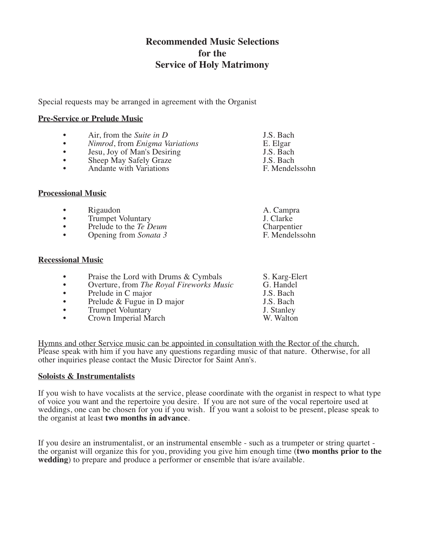# **Recommended Music Selections for the Service of Holy Matrimony**

Special requests may be arranged in agreement with the Organist

## **Pre-Service or Prelude Music**

- Air, from the *Suite* in *D* J.S. Bach<br>• *Nimrod*, from *Enigma Variations* E. Elgar
- *Nimrod*, from *Enigma Variations* E. Elgar<br>• Jesu. Jov of Man's Desiring J.S. Bach
- Jesu, Joy of Man's Desiring J.S. Bach<br>• Sheep May Safely Graze J.S. Bach
- Sheep May Safely Graze  $\overline{J}$  J.S. Bach<br>
Andante with Variations  $\overline{F}$ . Mendelssohn
- Andante with Variations

# **Processional Music**

- 
- Rigaudon A. Campra • Trumpet Voluntary J. Clarke<br>
• Prelude to the *Te Deum* Charnentier
- 
- Opening from *Sonata* 3

## **Recessional Music**

- Praise the Lord with Drums & Cymbals S. Karg-Elert<br>• Overture, from *The Royal Fireworks Music* G. Handel
- Overture, from *The Royal Fireworks Music* G. Handel<br>• Prelude in C major **IS** Bach
- 
- Prelude in C major J.S. Bach<br>• Prelude & Fugue in D major J.S. Bach J.S. Bach • Prelude & Fugue in D major J.S. Bach<br>• Trumpet Voluntary J. Stanley
- Frumpet Voluntary **1. Stanley**<br> **Frown Imperial March Crown Imperial March**
- Crown Imperial March
- Hymns and other Service music can be appointed in consultation with the Rector of the church. Please speak with him if you have any questions regarding music of that nature. Otherwise, for all other inquiries please contact the Music Director for Saint Ann's.

# **Soloists & Instrumentalists**

If you wish to have vocalists at the service, please coordinate with the organist in respect to what type of voice you want and the repertoire you desire. If you are not sure of the vocal repertoire used at weddings, one can be chosen for you if you wish. If you want a soloist to be present, please speak to the organist at least **two months in advance**.

If you desire an instrumentalist, or an instrumental ensemble - such as a trumpeter or string quartet -<br>the organist will organize this for you, providing you give him enough time (**two months prior to the wedding**) to prepare and produce a performer or ensemble that is/are available.

- 
- Prelude to the *Te Deum* Charpentier